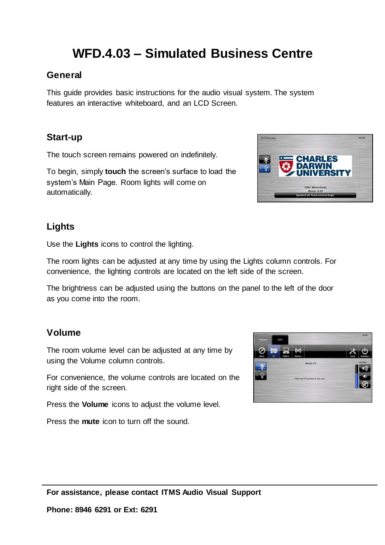# **WFD.4.03 – Simulated Business Centre**

### **General**

This guide provides basic instructions for the audio visual system. The system features an interactive whiteboard, and an LCD Screen.

### **Start-up**

The touch screen remains powered on indefinitely.

To begin, simply **touch** the screen's surface to load the system's Main Page. Room lights will come on automatically.

### **Lights**

Use the **Lights** icons to control the lighting.

The room lights can be adjusted at any time by using the Lights column controls. For convenience, the lighting controls are located on the left side of the screen.

The brightness can be adjusted using the buttons on the panel to the left of the door as you come into the room.

#### **Volume**

The room volume level can be adjusted at any time by using the Volume column controls.

For convenience, the volume controls are located on the right side of the screen.

Press the **Volume** icons to adjust the volume level.

Press the **mute** icon to turn off the sound.



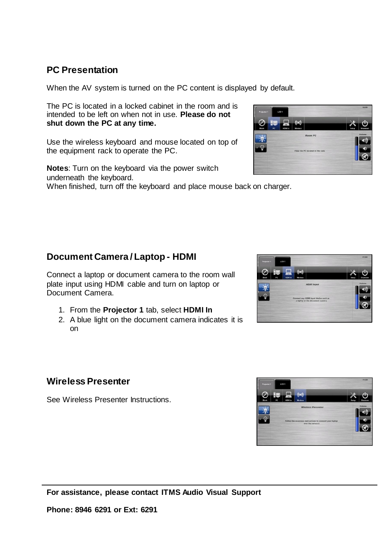### **PC Presentation**

When the AV system is turned on the PC content is displayed by default.

The PC is located in a locked cabinet in the room and is intended to be left on when not in use. **Please do not shut down the PC at any time.**

Use the wireless keyboard and mouse located on top of the equipment rack to operate the PC.

**Notes**: Turn on the keyboard via the power switch underneath the keyboard. When finished, turn off the keyboard and place mouse back on charger.

## **Document Camera / Laptop - HDMI**

Connect a laptop or document camera to the room wall plate input using HDMI cable and turn on laptop or Document Camera.

- 1. From the **Projector 1** tab, select **HDMI In**
- 2. A blue light on the document camera indicates it is on

### **Wireless Presenter**

See Wireless Presenter Instructions.